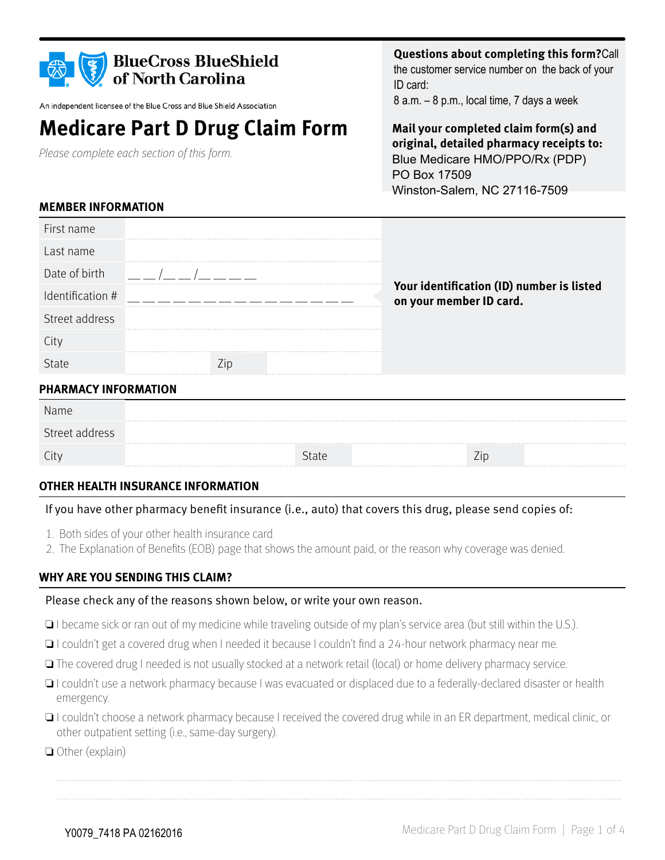| <b>BlueCross BlueShield</b><br>of North Carolina<br>An independent licensee of the Blue Cross and Blue Shield Association<br><b>Medicare Part D Drug Claim Form</b><br>Please complete each section of this form. |             |              | <b>Questions about completing this form?Call</b><br>the customer service number on the back of your<br>ID card:<br>8 a.m. - 8 p.m., local time, 7 days a week<br>Mail your completed claim form(s) and<br>original, detailed pharmacy receipts to:<br>Blue Medicare HMO/PPO/Rx (PDP)<br>PO Box 17509<br>Winston-Salem, NC 27116-7509 |  |
|-------------------------------------------------------------------------------------------------------------------------------------------------------------------------------------------------------------------|-------------|--------------|--------------------------------------------------------------------------------------------------------------------------------------------------------------------------------------------------------------------------------------------------------------------------------------------------------------------------------------|--|
| <b>MEMBER INFORMATION</b>                                                                                                                                                                                         |             |              |                                                                                                                                                                                                                                                                                                                                      |  |
| First name                                                                                                                                                                                                        |             |              |                                                                                                                                                                                                                                                                                                                                      |  |
| Last name                                                                                                                                                                                                         |             |              |                                                                                                                                                                                                                                                                                                                                      |  |
| Date of birth                                                                                                                                                                                                     |             |              |                                                                                                                                                                                                                                                                                                                                      |  |
| Identification #                                                                                                                                                                                                  |             |              | Your identification (ID) number is listed<br>on your member ID card.                                                                                                                                                                                                                                                                 |  |
| Street address                                                                                                                                                                                                    |             |              |                                                                                                                                                                                                                                                                                                                                      |  |
| City                                                                                                                                                                                                              |             |              |                                                                                                                                                                                                                                                                                                                                      |  |
| State                                                                                                                                                                                                             | $\angle$ ip |              |                                                                                                                                                                                                                                                                                                                                      |  |
| <b>PHARMACY INFORMATION</b>                                                                                                                                                                                       |             |              |                                                                                                                                                                                                                                                                                                                                      |  |
| Name                                                                                                                                                                                                              |             |              |                                                                                                                                                                                                                                                                                                                                      |  |
| Street address                                                                                                                                                                                                    |             |              |                                                                                                                                                                                                                                                                                                                                      |  |
| City                                                                                                                                                                                                              |             | <b>State</b> | Zip                                                                                                                                                                                                                                                                                                                                  |  |

#### **OTHER HEALTH INSURANCE INFORMATION**

#### If you have other pharmacy benefit insurance (i.e., auto) that covers this drug, please send copies of:

- 1. Both sides of your other health insurance card
- 2. The Explanation of Benefits (EOB) page that shows the amount paid, or the reason why coverage was denied.

#### **WHY ARE YOU SENDING THIS CLAIM?**

#### Please check any of the reasons shown below, or write your own reason.

- ❏ I became sick or ran out of my medicine while traveling outside of my plan's service area (but still within the U.S.).
- ❏ I couldn't get a covered drug when I needed it because I couldn't find a 24-hour network pharmacy near me.
- ❏ The covered drug I needed is not usually stocked at a network retail (local) or home delivery pharmacy service.
- ❏ I couldn't use a network pharmacy because I was evacuated or displaced due to a federally-declared disaster or health emergency.
- ❏ I couldn't choose a network pharmacy because I received the covered drug while in an ER department, medical clinic, or other outpatient setting (i.e., same-day surgery).
- ❏ Other (explain)

**Questions about completing this form?**Call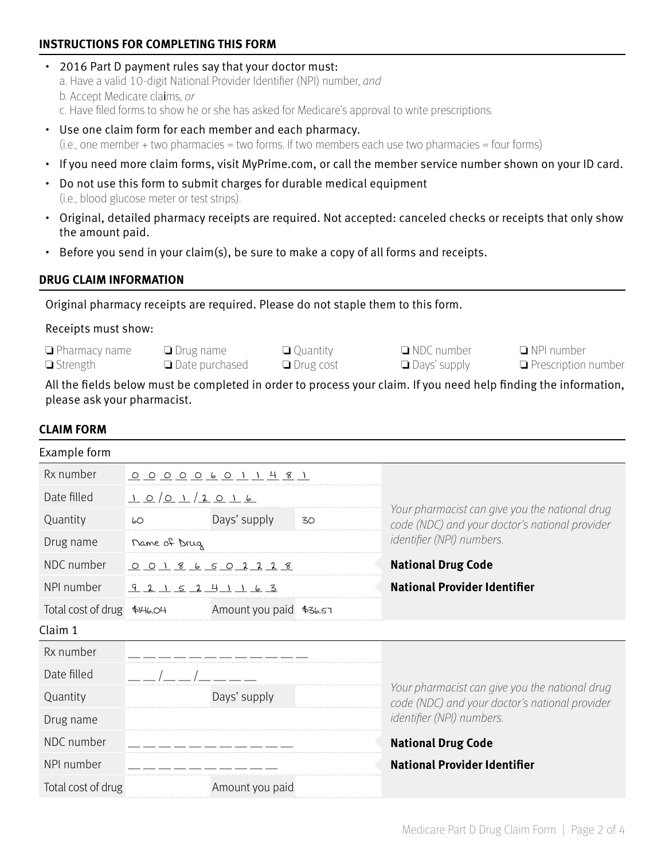#### **INSTRUCTIONS FOR COMPLETING THIS FORM**

- 2016 Part D payment rules say that your doctor must: a. Have a valid 10-digit National Provider Identifier (NPI) number, and b. Accept Medicare claims, or c. Have filed forms to show he or she has asked for Medicare's approval to write prescriptions.
- Use one claim form for each member and each pharmacy. (i.e., one member + two pharmacies = two forms. If two members each use two pharmacies = four forms)
- If you need more claim forms, visit MyPrime.com, or call the member service number shown on your ID card.
- Do not use this form to submit charges for durable medical equipment (i.e., blood glucose meter or test strips).
- Original, detailed pharmacy receipts are required. Not accepted: canceled checks or receipts that only show the amount paid.
- Before you send in your claim(s), be sure to make a copy of all forms and receipts.

#### **DRUG CLAIM INFORMATION**

Original pharmacy receipts are required. Please do not staple them to this form.

#### Receipts must show:

❏ Pharmacy name ❏ Strength

❏ Drug name ❏ Date purchased

❏ Quantity ❏ Drug cost ❏ NDC number ❏ Days' supply

❏ NPI number ❏ Prescription number

All the fields below must be completed in order to process your claim. If you need help finding the information, please ask your pharmacist.

#### **CLAIM FORM**

| Example form                |              |                              |    |                                                                                                  |
|-----------------------------|--------------|------------------------------|----|--------------------------------------------------------------------------------------------------|
| Rx number                   |              | <u>000006011481</u>          |    |                                                                                                  |
| Date filled                 | 10012016     |                              |    |                                                                                                  |
| Quantity                    | 60           | Days' supply                 | 30 | Your pharmacist can give you the national drug<br>code (NDC) and your doctor's national provider |
| Drug name                   | Name of Drug |                              |    | <i>identifier</i> (NPI) numbers.                                                                 |
| NDC number                  |              | <u>0 0 1 8 6 5 0 2 2 2 8</u> |    | <b>National Drug Code</b>                                                                        |
| NPI number                  | $921521$     |                              |    | <b>National Provider Identifier</b>                                                              |
| Total cost of drug \$146.04 |              | Amount you paid \$36.57      |    |                                                                                                  |
| Claim 1                     |              |                              |    |                                                                                                  |
| Rx number                   |              |                              |    |                                                                                                  |
| Date filled                 |              |                              |    |                                                                                                  |
| Quantity                    |              | Days' supply                 |    | Your pharmacist can give you the national drug<br>code (NDC) and your doctor's national provider |
| Drug name                   |              |                              |    | identifier (NPI) numbers.                                                                        |
| NDC number                  |              |                              |    | <b>National Drug Code</b>                                                                        |
| NPI number                  |              |                              |    | <b>National Provider Identifier</b>                                                              |
| Total cost of drug          |              | Amount you paid              |    |                                                                                                  |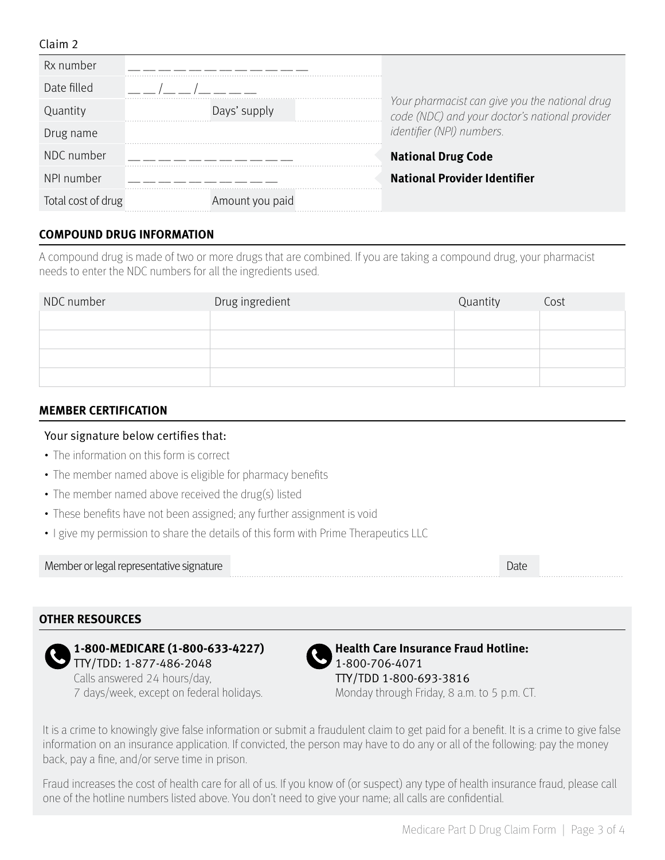#### Claim 2

| Rx number          |                 |                                                                                                  |
|--------------------|-----------------|--------------------------------------------------------------------------------------------------|
| Date filled        |                 |                                                                                                  |
| Quantity           | Days' supply    | Your pharmacist can give you the national drug<br>code (NDC) and your doctor's national provider |
| Drug name          |                 | identifier (NPI) numbers.                                                                        |
| NDC number         |                 | <b>National Drug Code</b>                                                                        |
| NPI number         |                 | <b>National Provider Identifier</b>                                                              |
| Total cost of drug | Amount you paid |                                                                                                  |

#### **COMPOUND DRUG INFORMATION**

A compound drug is made of two or more drugs that are combined. If you are taking a compound drug, your pharmacist needs to enter the NDC numbers for all the ingredients used.

| NDC number | Drug ingredient | Quantity | Cost |
|------------|-----------------|----------|------|
|            |                 |          |      |
|            |                 |          |      |
|            |                 |          |      |
|            |                 |          |      |

#### **MEMBER CERTIFICATION**

#### Your signature below certifies that:

- The information on this form is correct
- The member named above is eligible for pharmacy benefits
- The member named above received the drug(s) listed
- These benefits have not been assigned; any further assignment is void
- I give my permission to share the details of this form with Prime Therapeutics LLC

Member or legal representative signature developed and the control of the Date Date Date Date

#### **OTHER RESOURCES**



**1-800-MEDICARE (1-800-633-4227)**  TTY/TDD: 1-877-486-2048

Calls answered 24 hours/day, 7 days/week, except on federal holidays.



**Health Care Insurance Fraud Hotline:**  1-800-706-4071 TTY/TDD 1-800-693-3816 Monday through Friday, 8 a.m. to 5 p.m. CT.

It is a crime to knowingly give false information or submit a fraudulent claim to get paid for a benefit. It is a crime to give false information on an insurance application. If convicted, the person may have to do any or all of the following: pay the money back, pay a fine, and/or serve time in prison.

Fraud increases the cost of health care for all of us. If you know of (or suspect) any type of health insurance fraud, please call one of the hotline numbers listed above. You don't need to give your name; all calls are confidential.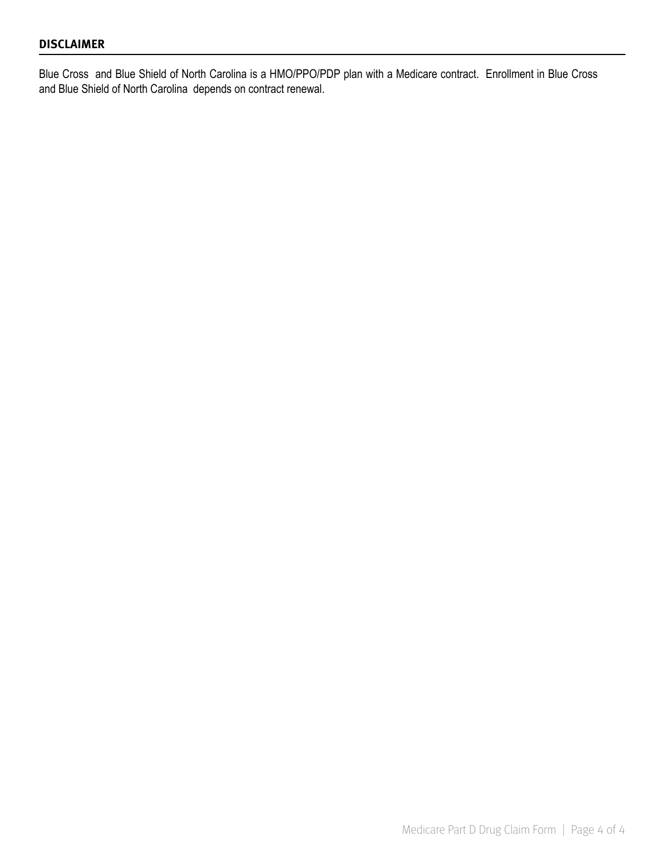#### **DISCLAIMER**

Blue Cross and Blue Shield of North Carolina is a HMO/PPO/PDP plan with a Medicare contract. Enrollment in Blue Cross and Blue Shield of North Carolina depends on contract renewal.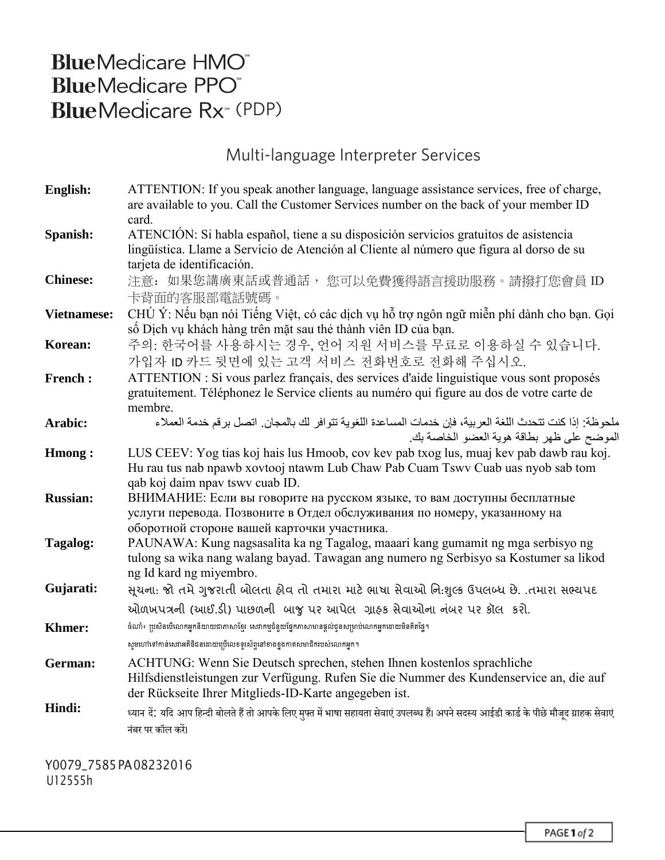# **BlueMedicare HMO**<sup>®</sup> **BlueMedicare PPO BlueMedicare Rx** (PDP)

## Multi-language Interpreter Services

| English:           | ATTENTION: If you speak another language, language assistance services, free of charge,<br>are available to you. Call the Customer Services number on the back of your member ID |
|--------------------|----------------------------------------------------------------------------------------------------------------------------------------------------------------------------------|
|                    | card.                                                                                                                                                                            |
| Spanish:           | ATENCIÓN: Si habla español, tiene a su disposición servicios gratuitos de asistencia                                                                                             |
|                    | lingüística. Llame a Servicio de Atención al Cliente al número que figura al dorso de su                                                                                         |
|                    | tarjeta de identificación.                                                                                                                                                       |
| <b>Chinese:</b>    | 注意: 如果您講廣東話或普通話, 您可以免費獲得語言援助服務。請撥打您會員 ID                                                                                                                                         |
| <b>Vietnamese:</b> | 卡背面的客服部電話號碼。<br>CHÚ Ý: Nếu bạn nói Tiếng Việt, có các dịch vụ hỗ trợ ngôn ngữ miễn phí dành cho bạn. Gọi                                                                         |
|                    | số Dịch vụ khách hàng trên mặt sau thẻ thành viên ID của bạn.                                                                                                                    |
| Korean:            | 주의: 한국어를 사용하시는 경우, 언어 지원 서비스를 무료로 이용하실 수 있습니다.                                                                                                                                   |
|                    | 가입자 ID 카드 뒷면에 있는 고객 서비스 전화번호로 전화해 주십시오.                                                                                                                                          |
| <b>French:</b>     | ATTENTION : Si vous parlez français, des services d'aide linguistique vous sont proposés                                                                                         |
|                    | gratuitement. Téléphonez le Service clients au numéro qui figure au dos de votre carte de                                                                                        |
|                    | membre.                                                                                                                                                                          |
| Arabic:            | ملحوظة: إذا كنت تتحدث اللغة العربية، فإن خدمات المساعدة اللغوية تتوافر لك بالمجان. اتصل برقم خدمة العملاء                                                                        |
|                    | الموضح على ظهر بطاقة هوية العضو الخاصة بك<br>LUS CEEV: Yog tias koj hais lus Hmoob, cov kev pab txog lus, muaj kev pab dawb rau koj.                                             |
| <b>Hmong:</b>      | Hu rau tus nab npawb xovtooj ntawm Lub Chaw Pab Cuam Tswv Cuab uas nyob sab tom                                                                                                  |
|                    | qab koj daim npav tswv cuab ID.                                                                                                                                                  |
| <b>Russian:</b>    | ВНИМАНИЕ: Если вы говорите на русском языке, то вам доступны бесплатные                                                                                                          |
|                    | услуги перевода. Позвоните в Отдел обслуживания по номеру, указанному на                                                                                                         |
|                    | оборотной стороне вашей карточки участника.                                                                                                                                      |
| <b>Tagalog:</b>    | PAUNAWA: Kung nagsasalita ka ng Tagalog, maaari kang gumamit ng mga serbisyo ng                                                                                                  |
|                    | tulong sa wika nang walang bayad. Tawagan ang numero ng Serbisyo sa Kostumer sa likod                                                                                            |
|                    | ng Id kard ng miyembro.                                                                                                                                                          |
| Gujarati:          | સૂચના: જો તમે ગુજરાતી બોલતા હોવ તો તમારા માટે ભાષા સેવાઓ નિ:શુલ્ક ઉપલબ્ધ છે. .તમારા સભ્યપદ                                                                                       |
|                    | ઓળખપત્રની (આઈ.ડી) પાછળની બાજુ પર આપેલ ગ્રાહક સેવાઓના નંબર પર કૉલ કરો.                                                                                                            |
| <b>Khmer:</b>      | ចំណាំ៖ ប្រសិនបើលោកអ្នកនិយាយជាភាសាខ្មែរ សេវាកម្មជំនួយផ្នែកភាសាមានផ្តល់ជូនសម្រាប់លោកអ្នកដោយមិនគិតថ្លៃ។                                                                             |
|                    | សូមហៅទៅកាន់សេវាអតិថិជនដោយប្រើលេខទូរស័ព្ទនៅខាងខ្នងកាតសមាជិករបស់លោកអ្នក។                                                                                                           |
| German:            | ACHTUNG: Wenn Sie Deutsch sprechen, stehen Ihnen kostenlos sprachliche                                                                                                           |
|                    | Hilfsdienstleistungen zur Verfügung. Rufen Sie die Nummer des Kundenservice an, die auf                                                                                          |
|                    | der Rückseite Ihrer Mitglieds-ID-Karte angegeben ist.                                                                                                                            |
| Hindi:             | ध्यान दें.' यदि आप हिन्दी बोलते हैं तो आपके लिए मुफ्त में भाषा सहायता सेवाएं उपलब्ध हैं। अपने सदस्य आईडी कार्ड के पीछे मौजूद ग्राहक सेवाएं                                       |
|                    | नंबर पर कॉल करें।                                                                                                                                                                |
|                    |                                                                                                                                                                                  |

Y0079\_7585 PA 08232016 U12555h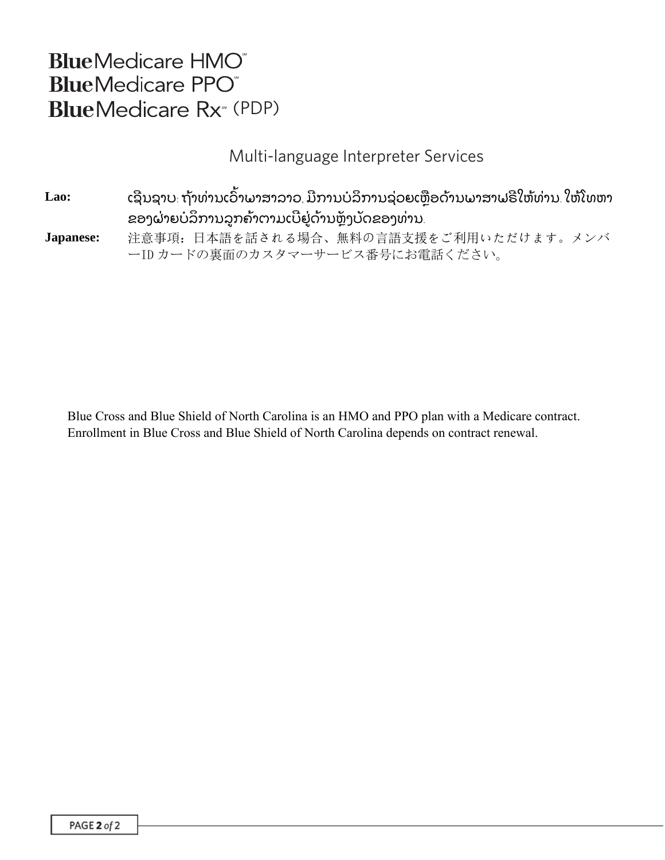## **BlueMedicare HMO BlueMedicare PPO BlueMedicare Rx**<sup>®</sup> (PDP)

### Multi-language Interpreter Services

Lao: ເຊີນຊາບ<sub>:</sub> ຖ້າທ່ານເວົາພາສາລາວ, ມີການບໍລິການຊ່ວຍເຫຼືອດ້ານພາສາຟຣີໃຫ້ທ່ານ. ໃຫ້ໂທຫາ ຂອງຝ່າຍບໍລິການລູກຄ້າຕາມເບີຢູ່ດ້ານຫຼັງບັດຂອງທ່ານ.

**Japanese:** 注意事項:日本語を話される場合、無料の言語支援をご利用いただけます。メンバ ーID カードの裏面のカスタマーサービス番号にお電話ください。

Blue Cross and Blue Shield of North Carolina is an HMO and PPO plan with a Medicare contract. Enrollment in Blue Cross and Blue Shield of North Carolina depends on contract renewal.